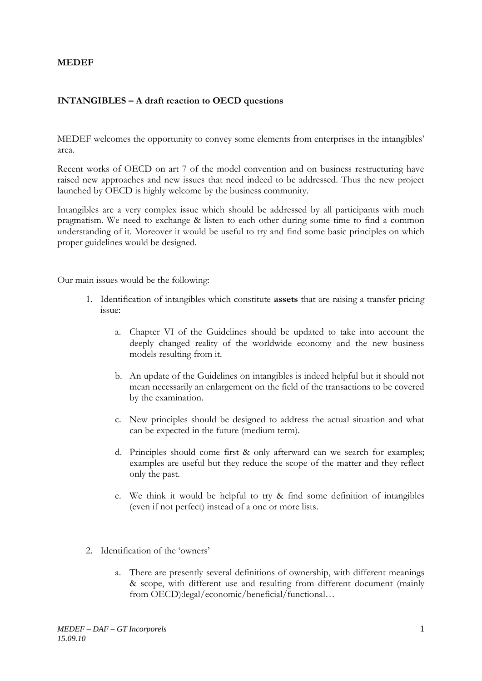## **MEDEF**

## **INTANGIBLES – A draft reaction to OECD questions**

MEDEF welcomes the opportunity to convey some elements from enterprises in the intangibles' area.

Recent works of OECD on art 7 of the model convention and on business restructuring have raised new approaches and new issues that need indeed to be addressed. Thus the new project launched by OECD is highly welcome by the business community.

Intangibles are a very complex issue which should be addressed by all participants with much pragmatism. We need to exchange & listen to each other during some time to find a common understanding of it. Moreover it would be useful to try and find some basic principles on which proper guidelines would be designed.

Our main issues would be the following:

- 1. Identification of intangibles which constitute **assets** that are raising a transfer pricing issue:
	- a. Chapter VI of the Guidelines should be updated to take into account the deeply changed reality of the worldwide economy and the new business models resulting from it.
	- b. An update of the Guidelines on intangibles is indeed helpful but it should not mean necessarily an enlargement on the field of the transactions to be covered by the examination.
	- c. New principles should be designed to address the actual situation and what can be expected in the future (medium term).
	- d. Principles should come first & only afterward can we search for examples; examples are useful but they reduce the scope of the matter and they reflect only the past.
	- e. We think it would be helpful to try & find some definition of intangibles (even if not perfect) instead of a one or more lists.
- 2. Identification of the 'owners'
	- a. There are presently several definitions of ownership, with different meanings & scope, with different use and resulting from different document (mainly from OECD):legal/economic/beneficial/functional…